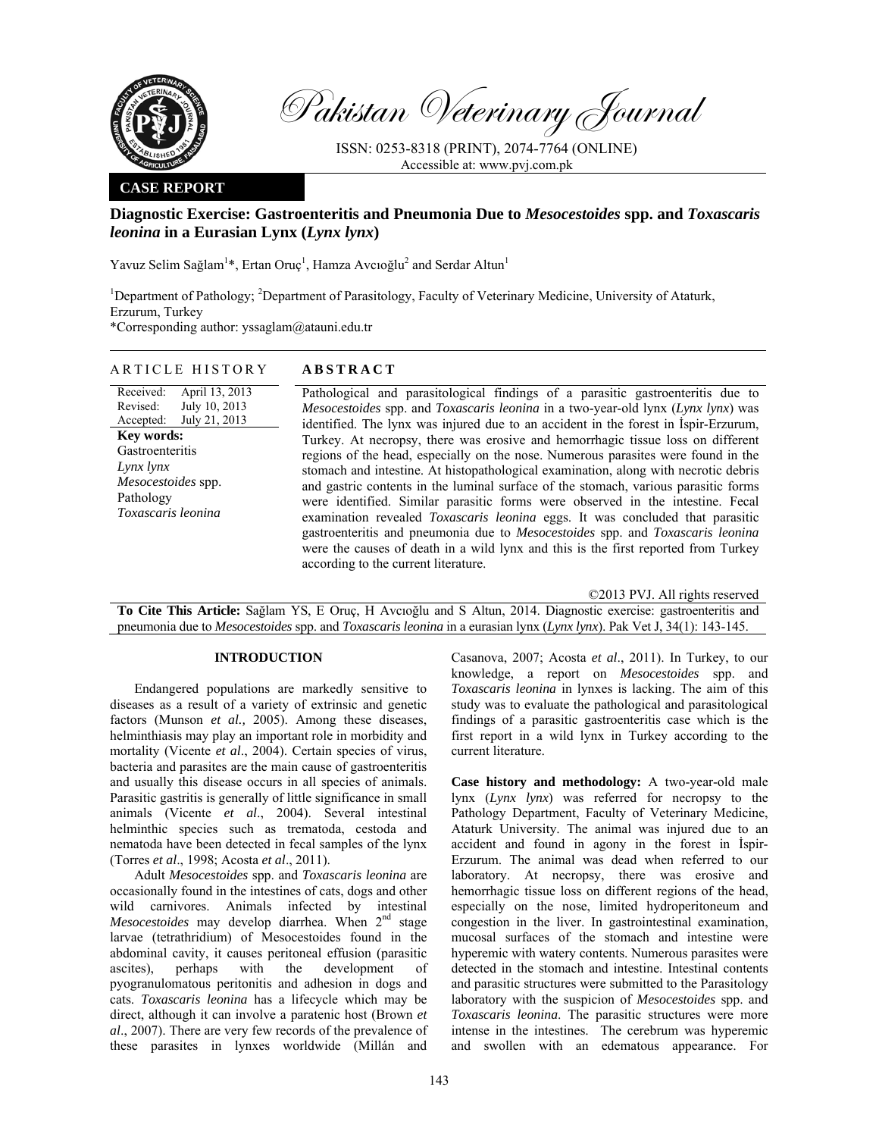

Pakistan Veterinary Journal

ISSN: 0253-8318 (PRINT), 2074-7764 (ONLINE) Accessible at: www.pvj.com.pk

## **CASE REPORT**

# **Diagnostic Exercise: Gastroenteritis and Pneumonia Due to** *Mesocestoides* **spp. and** *Toxascaris leonina* **in a Eurasian Lynx (***Lynx lynx***)**

Yavuz Selim Sağlam<sup>1\*</sup>, Ertan Oruç<sup>1</sup>, Hamza Avcıoğlu<sup>2</sup> and Serdar Altun<sup>1</sup>

<sup>1</sup>Department of Pathology; <sup>2</sup>Department of Parasitology, Faculty of Veterinary Medicine, University of Ataturk, Erzurum, Turkey

\*Corresponding author: yssaglam@atauni.edu.tr

### ARTICLE HISTORY **ABSTRACT**

Received: Revised: Accepted: April 13, 2013 July 10, 2013 July 21, 2013 **Key words:**  Gastroenteritis *Lynx lynx Mesocestoides* spp. Pathology *Toxascaris leonina*

 Pathological and parasitological findings of a parasitic gastroenteritis due to *Mesocestoides* spp. and *Toxascaris leonina* in a two-year-old lynx (*Lynx lynx*) was identified. The lynx was injured due to an accident in the forest in İspir-Erzurum, Turkey. At necropsy, there was erosive and hemorrhagic tissue loss on different regions of the head, especially on the nose. Numerous parasites were found in the stomach and intestine. At histopathological examination, along with necrotic debris and gastric contents in the luminal surface of the stomach, various parasitic forms were identified. Similar parasitic forms were observed in the intestine. Fecal examination revealed *Toxascaris leonina* eggs. It was concluded that parasitic gastroenteritis and pneumonia due to *Mesocestoides* spp. and *Toxascaris leonina* were the causes of death in a wild lynx and this is the first reported from Turkey according to the current literature.

©2013 PVJ. All rights reserved **To Cite This Article:** Sağlam YS, E Oruç, H Avcıoğlu and S Altun, 2014. Diagnostic exercise: gastroenteritis and pneumonia due to *Mesocestoides* spp. and *Toxascaris leonina* in a eurasian lynx (*Lynx lynx*). Pak Vet J, 34(1): 143-145.

## **INTRODUCTION**

Endangered populations are markedly sensitive to diseases as a result of a variety of extrinsic and genetic factors (Munson *et al.,* 2005). Among these diseases, helminthiasis may play an important role in morbidity and mortality (Vicente *et al*., 2004). Certain species of virus, bacteria and parasites are the main cause of gastroenteritis and usually this disease occurs in all species of animals. Parasitic gastritis is generally of little significance in small animals (Vicente *et al*., 2004). Several intestinal helminthic species such as trematoda, cestoda and nematoda have been detected in fecal samples of the lynx (Torres *et al*., 1998; Acosta *et al*., 2011).

Adult *Mesocestoides* spp. and *Toxascaris leonina* are occasionally found in the intestines of cats, dogs and other wild carnivores. Animals infected by intestinal *Mesocestoides* may develop diarrhea. When 2<sup>nd</sup> stage larvae (tetrathridium) of Mesocestoides found in the abdominal cavity, it causes peritoneal effusion (parasitic ascites), perhaps with the development of pyogranulomatous peritonitis and adhesion in dogs and cats. *Toxascaris leonina* has a lifecycle which may be direct, although it can involve a paratenic host (Brown *et al*., 2007). There are very few records of the prevalence of these parasites in lynxes worldwide (Millán and Casanova, 2007; Acosta *et al*., 2011). In Turkey, to our knowledge, a report on *Mesocestoides* spp. and *Toxascaris leonina* in lynxes is lacking. The aim of this study was to evaluate the pathological and parasitological findings of a parasitic gastroenteritis case which is the first report in a wild lynx in Turkey according to the current literature.

**Case history and methodology:** A two-year-old male lynx (*Lynx lynx*) was referred for necropsy to the Pathology Department, Faculty of Veterinary Medicine, Ataturk University. The animal was injured due to an accident and found in agony in the forest in İspir-Erzurum. The animal was dead when referred to our laboratory. At necropsy, there was erosive and hemorrhagic tissue loss on different regions of the head, especially on the nose, limited hydroperitoneum and congestion in the liver. In gastrointestinal examination, mucosal surfaces of the stomach and intestine were hyperemic with watery contents. Numerous parasites were detected in the stomach and intestine. Intestinal contents and parasitic structures were submitted to the Parasitology laboratory with the suspicion of *Mesocestoides* spp. and *Toxascaris leonina*. The parasitic structures were more intense in the intestines. The cerebrum was hyperemic and swollen with an edematous appearance. For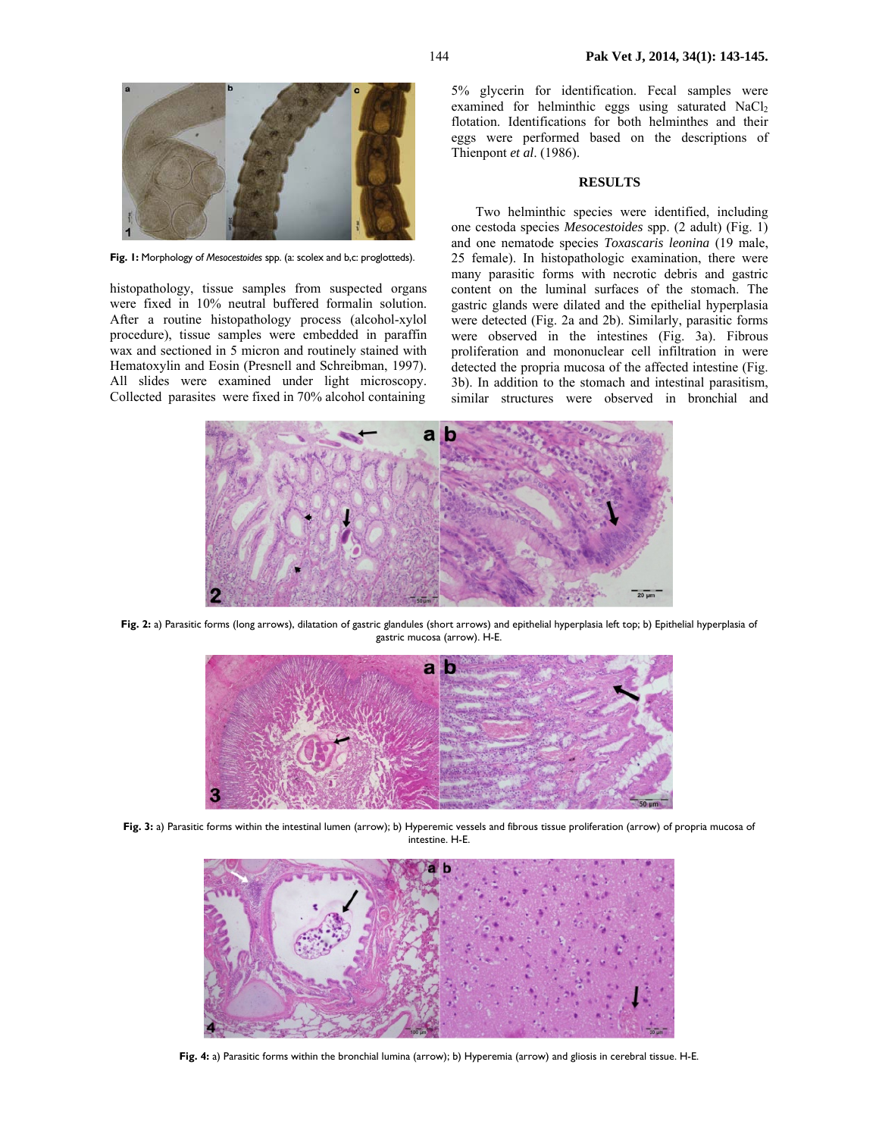

**Fig. 1:** Morphology of *Mesocestoides* spp. (a: scolex and b,c: proglotteds).

histopathology, tissue samples from suspected organs were fixed in 10% neutral buffered formalin solution. After a routine histopathology process (alcohol-xylol procedure), tissue samples were embedded in paraffin wax and sectioned in 5 micron and routinely stained with Hematoxylin and Eosin (Presnell and Schreibman, 1997). All slides were examined under light microscopy. Collected parasites were fixed in 70% alcohol containing 5% glycerin for identification. Fecal samples were examined for helminthic eggs using saturated  $NaCl<sub>2</sub>$ flotation. Identifications for both helminthes and their eggs were performed based on the descriptions of Thienpont *et al*. (1986).

#### **RESULTS**

Two helminthic species were identified, including one cestoda species *Mesocestoides* spp. (2 adult) (Fig. 1) and one nematode species *Toxascaris leonina* (19 male, 25 female). In histopathologic examination, there were many parasitic forms with necrotic debris and gastric content on the luminal surfaces of the stomach. The gastric glands were dilated and the epithelial hyperplasia were detected (Fig. 2a and 2b). Similarly, parasitic forms were observed in the intestines (Fig. 3a). Fibrous proliferation and mononuclear cell infiltration in were detected the propria mucosa of the affected intestine (Fig. 3b). In addition to the stomach and intestinal parasitism, similar structures were observed in bronchial and



**Fig. 2:** a) Parasitic forms (long arrows), dilatation of gastric glandules (short arrows) and epithelial hyperplasia left top; b) Epithelial hyperplasia of gastric mucosa (arrow). H-E.



**Fig. 3:** a) Parasitic forms within the intestinal lumen (arrow); b) Hyperemic vessels and fibrous tissue proliferation (arrow) of propria mucosa of intestine. H-E.



**Fig. 4:** a) Parasitic forms within the bronchial lumina (arrow); b) Hyperemia (arrow) and gliosis in cerebral tissue. H-E.